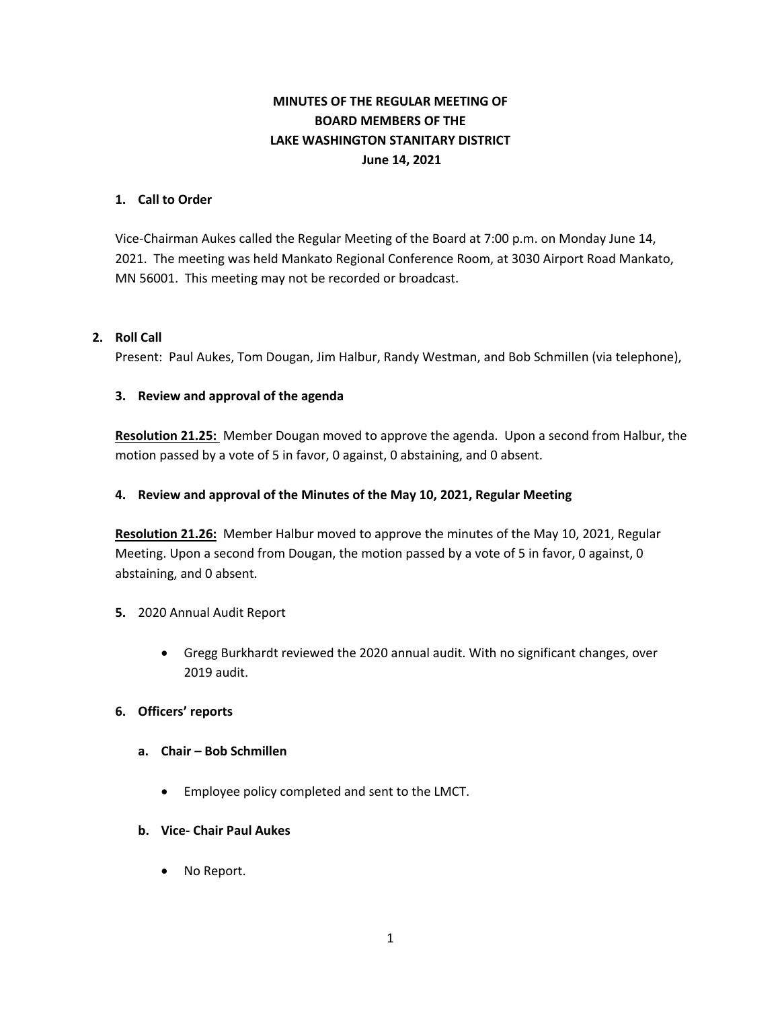# **MINUTES OF THE REGULAR MEETING OF BOARD MEMBERS OF THE LAKE WASHINGTON STANITARY DISTRICT June 14, 2021**

### **1. Call to Order**

Vice-Chairman Aukes called the Regular Meeting of the Board at 7:00 p.m. on Monday June 14, 2021. The meeting was held Mankato Regional Conference Room, at 3030 Airport Road Mankato, MN 56001. This meeting may not be recorded or broadcast.

### **2. Roll Call**

Present: Paul Aukes, Tom Dougan, Jim Halbur, Randy Westman, and Bob Schmillen (via telephone),

### **3. Review and approval of the agenda**

**Resolution 21.25:** Member Dougan moved to approve the agenda. Upon a second from Halbur, the motion passed by a vote of 5 in favor, 0 against, 0 abstaining, and 0 absent.

### **4. Review and approval of the Minutes of the May 10, 2021, Regular Meeting**

**Resolution 21.26:** Member Halbur moved to approve the minutes of the May 10, 2021, Regular Meeting. Upon a second from Dougan, the motion passed by a vote of 5 in favor, 0 against, 0 abstaining, and 0 absent.

### **5.** 2020 Annual Audit Report

• Gregg Burkhardt reviewed the 2020 annual audit. With no significant changes, over 2019 audit.

### **6. Officers' reports**

- **a. Chair – Bob Schmillen**
	- Employee policy completed and sent to the LMCT.

### **b. Vice- Chair Paul Aukes**

• No Report.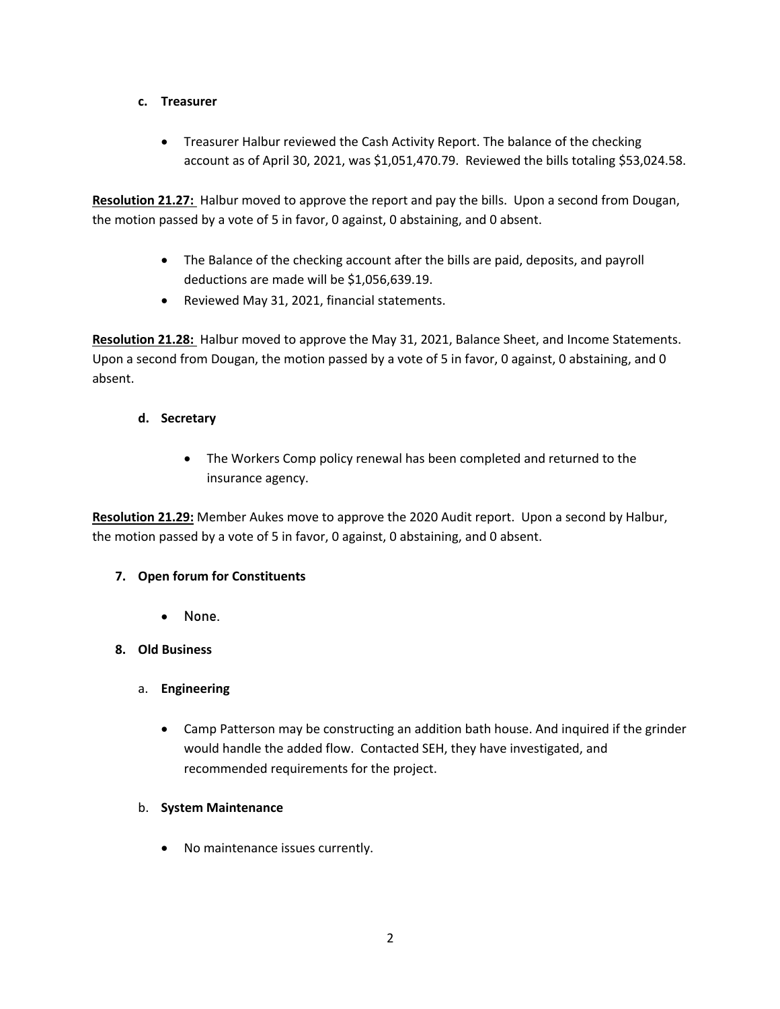## **c. Treasurer**

• Treasurer Halbur reviewed the Cash Activity Report. The balance of the checking account as of April 30, 2021, was \$1,051,470.79. Reviewed the bills totaling \$53,024.58.

**Resolution 21.27:** Halbur moved to approve the report and pay the bills. Upon a second from Dougan, the motion passed by a vote of 5 in favor, 0 against, 0 abstaining, and 0 absent.

- The Balance of the checking account after the bills are paid, deposits, and payroll deductions are made will be \$1,056,639.19.
- Reviewed May 31, 2021, financial statements.

**Resolution 21.28:** Halbur moved to approve the May 31, 2021, Balance Sheet, and Income Statements. Upon a second from Dougan, the motion passed by a vote of 5 in favor, 0 against, 0 abstaining, and 0 absent.

## **d. Secretary**

• The Workers Comp policy renewal has been completed and returned to the insurance agency.

**Resolution 21.29:** Member Aukes move to approve the 2020 Audit report. Upon a second by Halbur, the motion passed by a vote of 5 in favor, 0 against, 0 abstaining, and 0 absent.

## **7. Open forum for Constituents**

• None.

## **8. Old Business**

- a. **Engineering**
	- Camp Patterson may be constructing an addition bath house. And inquired if the grinder would handle the added flow. Contacted SEH, they have investigated, and recommended requirements for the project.

### b. **System Maintenance**

• No maintenance issues currently.